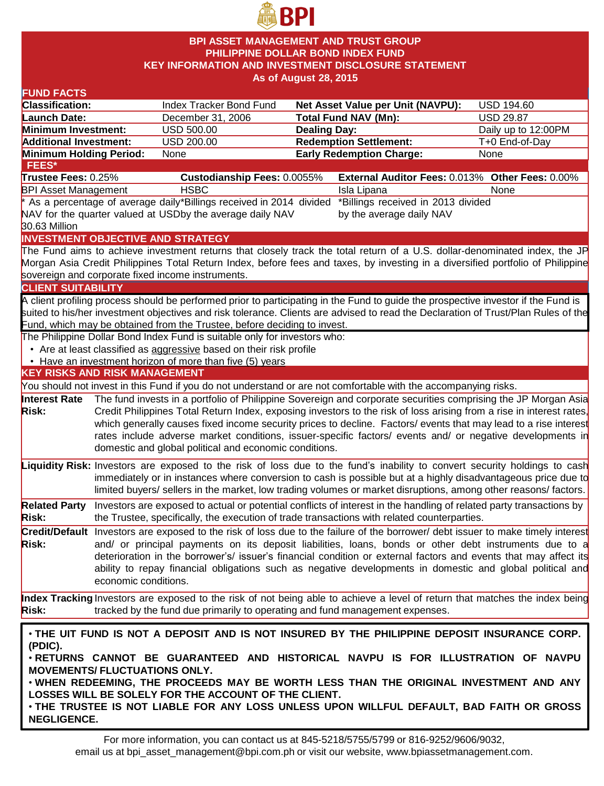

### **BPI ASSET MANAGEMENT AND TRUST GROUP PHILIPPINE DOLLAR BOND INDEX FUND KEY INFORMATION AND INVESTMENT DISCLOSURE STATEMENT As of August 28, 2015**

| <b>FUND FACTS</b>                                                                                          |                      |                                                                                                                                                       |                     |                                                                                                                                    |                     |  |
|------------------------------------------------------------------------------------------------------------|----------------------|-------------------------------------------------------------------------------------------------------------------------------------------------------|---------------------|------------------------------------------------------------------------------------------------------------------------------------|---------------------|--|
| <b>Classification:</b>                                                                                     |                      | Index Tracker Bond Fund                                                                                                                               |                     | <b>Net Asset Value per Unit (NAVPU):</b>                                                                                           | <b>USD 194.60</b>   |  |
| <b>Launch Date:</b>                                                                                        |                      | December 31, 2006                                                                                                                                     |                     | <b>Total Fund NAV (Mn):</b>                                                                                                        | <b>USD 29.87</b>    |  |
| Minimum Investment:                                                                                        |                      | <b>USD 500.00</b>                                                                                                                                     | <b>Dealing Day:</b> |                                                                                                                                    | Daily up to 12:00PM |  |
| <b>Additional Investment:</b>                                                                              |                      | USD 200.00                                                                                                                                            |                     | <b>Redemption Settlement:</b>                                                                                                      | T+0 End-of-Day      |  |
| Minimum Holding Period:                                                                                    |                      | None                                                                                                                                                  |                     | <b>Early Redemption Charge:</b>                                                                                                    | None                |  |
| <b>FEES*</b>                                                                                               |                      |                                                                                                                                                       |                     |                                                                                                                                    |                     |  |
| Trustee Fees: 0.25%                                                                                        |                      | <b>Custodianship Fees: 0.0055%</b>                                                                                                                    |                     | External Auditor Fees: 0.013% Other Fees: 0.00%                                                                                    |                     |  |
| <b>BPI Asset Management</b>                                                                                |                      | <b>HSBC</b>                                                                                                                                           |                     | Isla Lipana                                                                                                                        | None                |  |
| *Billings received in 2013 divided<br>* As a percentage of average daily*Billings received in 2014 divided |                      |                                                                                                                                                       |                     |                                                                                                                                    |                     |  |
|                                                                                                            |                      | NAV for the quarter valued at USDby the average daily NAV                                                                                             |                     | by the average daily NAV                                                                                                           |                     |  |
| 30.63 Million                                                                                              |                      |                                                                                                                                                       |                     |                                                                                                                                    |                     |  |
|                                                                                                            |                      | <b>INVESTMENT OBJECTIVE AND STRATEGY</b>                                                                                                              |                     |                                                                                                                                    |                     |  |
|                                                                                                            |                      |                                                                                                                                                       |                     | The Fund aims to achieve investment returns that closely track the total return of a U.S. dollar-denominated index, the JP         |                     |  |
|                                                                                                            |                      |                                                                                                                                                       |                     | Morgan Asia Credit Philippines Total Return Index, before fees and taxes, by investing in a diversified portfolio of Philippine    |                     |  |
|                                                                                                            |                      | sovereign and corporate fixed income instruments.                                                                                                     |                     |                                                                                                                                    |                     |  |
| <b>CLIENT SUITABILITY</b>                                                                                  |                      |                                                                                                                                                       |                     |                                                                                                                                    |                     |  |
|                                                                                                            |                      |                                                                                                                                                       |                     | A client profiling process should be performed prior to participating in the Fund to guide the prospective investor if the Fund is |                     |  |
|                                                                                                            |                      |                                                                                                                                                       |                     | suited to his/her investment objectives and risk tolerance. Clients are advised to read the Declaration of Trust/Plan Rules of the |                     |  |
|                                                                                                            |                      | Fund, which may be obtained from the Trustee, before deciding to invest.<br>The Philippine Dollar Bond Index Fund is suitable only for investors who: |                     |                                                                                                                                    |                     |  |
|                                                                                                            |                      | • Are at least classified as aggressive based on their risk profile                                                                                   |                     |                                                                                                                                    |                     |  |
|                                                                                                            |                      | • Have an investment horizon of more than five (5) years                                                                                              |                     |                                                                                                                                    |                     |  |
| <b>KEY RISKS AND RISK MANAGEMENT</b>                                                                       |                      |                                                                                                                                                       |                     |                                                                                                                                    |                     |  |
|                                                                                                            |                      |                                                                                                                                                       |                     | You should not invest in this Fund if you do not understand or are not comfortable with the accompanying risks.                    |                     |  |
| <b>Interest Rate</b>                                                                                       |                      |                                                                                                                                                       |                     | The fund invests in a portfolio of Philippine Sovereign and corporate securities comprising the JP Morgan Asia                     |                     |  |
| <b>Risk:</b>                                                                                               |                      |                                                                                                                                                       |                     | Credit Philippines Total Return Index, exposing investors to the risk of loss arising from a rise in interest rates,               |                     |  |
|                                                                                                            |                      |                                                                                                                                                       |                     | which generally causes fixed income security prices to decline. Factors/ events that may lead to a rise interest                   |                     |  |
|                                                                                                            |                      |                                                                                                                                                       |                     | rates include adverse market conditions, issuer-specific factors/ events and/ or negative developments in                          |                     |  |
|                                                                                                            |                      | domestic and global political and economic conditions.                                                                                                |                     |                                                                                                                                    |                     |  |
|                                                                                                            |                      |                                                                                                                                                       |                     |                                                                                                                                    |                     |  |
|                                                                                                            |                      |                                                                                                                                                       |                     | Liquidity Risk: Investors are exposed to the risk of loss due to the fund's inability to convert security holdings to cash         |                     |  |
|                                                                                                            |                      |                                                                                                                                                       |                     | immediately or in instances where conversion to cash is possible but at a highly disadvantageous price due to                      |                     |  |
|                                                                                                            |                      |                                                                                                                                                       |                     | limited buyers/ sellers in the market, low trading volumes or market disruptions, among other reasons/ factors.                    |                     |  |
| <b>Related Party</b>                                                                                       |                      |                                                                                                                                                       |                     | Investors are exposed to actual or potential conflicts of interest in the handling of related party transactions by                |                     |  |
| <b>Risk:</b>                                                                                               |                      |                                                                                                                                                       |                     | the Trustee, specifically, the execution of trade transactions with related counterparties.                                        |                     |  |
|                                                                                                            |                      |                                                                                                                                                       |                     | Credit/Default Investors are exposed to the risk of loss due to the failure of the borrower/ debt issuer to make timely interest   |                     |  |
| <b>Risk:</b>                                                                                               |                      |                                                                                                                                                       |                     | and/ or principal payments on its deposit liabilities, loans, bonds or other debt instruments due to a                             |                     |  |
|                                                                                                            |                      |                                                                                                                                                       |                     | deterioration in the borrower's/ issuer's financial condition or external factors and events that may affect its                   |                     |  |
|                                                                                                            |                      |                                                                                                                                                       |                     | ability to repay financial obligations such as negative developments in domestic and global political and                          |                     |  |
|                                                                                                            | economic conditions. |                                                                                                                                                       |                     |                                                                                                                                    |                     |  |
|                                                                                                            |                      |                                                                                                                                                       |                     | Index Tracking Investors are exposed to the risk of not being able to achieve a level of return that matches the index being       |                     |  |
| <b>Risk:</b>                                                                                               |                      | tracked by the fund due primarily to operating and fund management expenses.                                                                          |                     |                                                                                                                                    |                     |  |
|                                                                                                            |                      |                                                                                                                                                       |                     |                                                                                                                                    |                     |  |
|                                                                                                            |                      |                                                                                                                                                       |                     |                                                                                                                                    |                     |  |
| . THE UIT FUND IS NOT A DEPOSIT AND IS NOT INSURED BY THE PHILIPPINE DEPOSIT INSURANCE CORP.<br>(PDIC).    |                      |                                                                                                                                                       |                     |                                                                                                                                    |                     |  |
| . RETURNS CANNOT BE GUARANTEED AND HISTORICAL NAVPU IS FOR ILLUSTRATION OF NAVPU                           |                      |                                                                                                                                                       |                     |                                                                                                                                    |                     |  |
| <b>MOVEMENTS/ FLUCTUATIONS ONLY.</b>                                                                       |                      |                                                                                                                                                       |                     |                                                                                                                                    |                     |  |
| . WHEN REDEEMING, THE PROCEEDS MAY BE WORTH LESS THAN THE ORIGINAL INVESTMENT AND ANY                      |                      |                                                                                                                                                       |                     |                                                                                                                                    |                     |  |
| LOSSES WILL BE SOLELY FOR THE ACCOUNT OF THE CLIENT.                                                       |                      |                                                                                                                                                       |                     |                                                                                                                                    |                     |  |
|                                                                                                            |                      |                                                                                                                                                       |                     | . THE TRUSTEE IS NOT LIABLE FOR ANY LOSS UNLESS UPON WILLFUL DEFAULT, BAD FAITH OR GROSS                                           |                     |  |
|                                                                                                            |                      |                                                                                                                                                       |                     |                                                                                                                                    |                     |  |

**NEGLIGENCE.**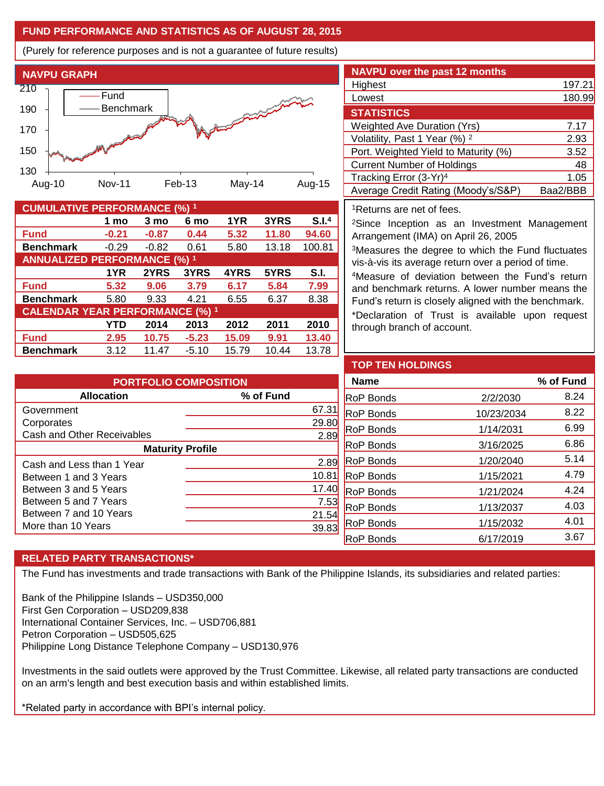## **FUND PERFORMANCE AND STATISTICS AS OF AUGUST 28, 2015**

(Purely for reference purposes and is not a guarantee of future results)



| <b>CUMULATIVE PERFORMANCE (%) 1</b>    |         |         |         |       |       |        |  |
|----------------------------------------|---------|---------|---------|-------|-------|--------|--|
|                                        | 1 mo    | 3 mo    | 6 mo    | 1YR   | 3YRS  | S.I.4  |  |
| <b>Fund</b>                            | $-0.21$ | $-0.87$ | 0.44    | 5.32  | 11.80 | 94.60  |  |
| <b>Benchmark</b>                       | $-0.29$ | $-0.82$ | 0.61    | 5.80  | 13.18 | 100.81 |  |
| <b>ANNUALIZED PERFORMANCE (%) 1</b>    |         |         |         |       |       |        |  |
|                                        | 1YR     | 2YRS    | 3YRS    | 4YRS  | 5YRS  | S.I.   |  |
| <b>Fund</b>                            | 5.32    | 9.06    | 3.79    | 6.17  | 5.84  | 7.99   |  |
| <b>Benchmark</b>                       | 5.80    | 9.33    | 4.21    | 6.55  | 6.37  | 8.38   |  |
| <b>CALENDAR YEAR PERFORMANCE (%) 1</b> |         |         |         |       |       |        |  |
|                                        | YTD     | 2014    | 2013    | 2012  | 2011  | 2010   |  |
| <b>Fund</b>                            | 2.95    | 10.75   | $-5.23$ | 15.09 | 9.91  | 13.40  |  |
| <b>Benchmark</b>                       | 3.12    | 11.47   | $-5.10$ | 15.79 | 10.44 | 13.78  |  |

| <b>NAVPU</b> over the past 12 months     |          |
|------------------------------------------|----------|
| Highest                                  | 197.21   |
| Lowest                                   | 180.99   |
| <b>STATISTICS</b>                        |          |
| <b>Weighted Ave Duration (Yrs)</b>       | 7.17     |
| Volatility, Past 1 Year (%) <sup>2</sup> | 2.93     |
| Port. Weighted Yield to Maturity (%)     | 3.52     |
| <b>Current Number of Holdings</b>        | 48       |
| Tracking Error (3-Yr) <sup>4</sup>       | 1.05     |
| Average Credit Rating (Moody's/S&P)      | Baa2/BBB |

<sup>1</sup>Returns are net of fees.

<sup>2</sup>Since Inception as an Investment Management Arrangement (IMA) on April 26, 2005

<sup>3</sup>Measures the degree to which the Fund fluctuates vis-à-vis its average return over a period of time.

<sup>4</sup>Measure of deviation between the Fund's return and benchmark returns. A lower number means the Fund's return is closely aligned with the benchmark.

\*Declaration of Trust is available upon request through branch of account.

| <b>PORTFOLIO COMPOSITION</b> |                |  |  |  |
|------------------------------|----------------|--|--|--|
| <b>Allocation</b>            | % of Fund      |  |  |  |
| Government                   | 67.3           |  |  |  |
| Corporates                   | 29.80          |  |  |  |
| Cash and Other Receivables   | 2.89           |  |  |  |
| <b>Maturity Profile</b>      |                |  |  |  |
| Cash and Less than 1 Year    | 2.89           |  |  |  |
| Between 1 and 3 Years        | $10.8^{\circ}$ |  |  |  |
| Between 3 and 5 Years        | 17.40          |  |  |  |
| Between 5 and 7 Years        | 7.53           |  |  |  |
| Between 7 and 10 Years       | 21.54          |  |  |  |
| More than 10 Years           | 39.8           |  |  |  |

| <b>TOP TEN HOLDINGS</b> |            |           |
|-------------------------|------------|-----------|
| <b>Name</b>             |            | % of Fund |
| RoP Bonds               | 2/2/2030   | 8.24      |
| RoP Bonds               | 10/23/2034 | 8.22      |
| RoP Bonds               | 1/14/2031  | 6.99      |
| RoP Bonds               | 3/16/2025  | 6.86      |
| RoP Bonds               | 1/20/2040  | 5.14      |
| RoP Bonds               | 1/15/2021  | 4.79      |
| RoP Bonds               | 1/21/2024  | 4.24      |
| RoP Bonds               | 1/13/2037  | 4.03      |
| RoP Bonds               | 1/15/2032  | 4.01      |
| RoP Bonds               | 6/17/2019  | 3.67      |

# **RELATED PARTY TRANSACTIONS\***

The Fund has investments and trade transactions with Bank of the Philippine Islands, its subsidiaries and related parties:

Bank of the Philippine Islands – USD350,000 First Gen Corporation – USD209,838 International Container Services, Inc. – USD706,881 Petron Corporation – USD505,625 Philippine Long Distance Telephone Company – USD130,976

Investments in the said outlets were approved by the Trust Committee. Likewise, all related party transactions are conducted on an arm's length and best execution basis and within established limits.

\*Related party in accordance with BPI's internal policy.